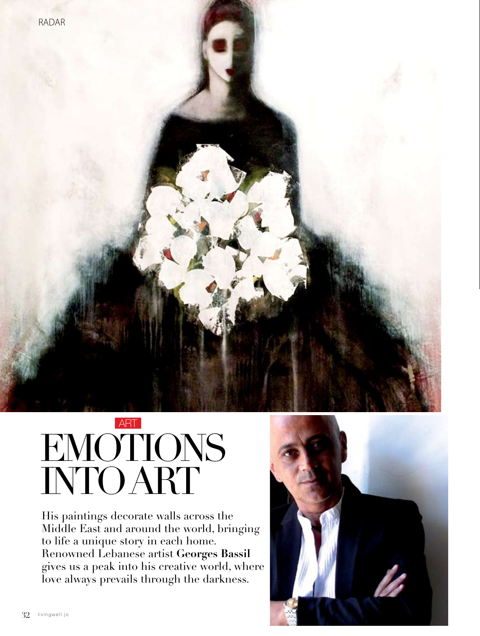

# EM INTO AF ART

His paintings decorate walls across the Middle East and around the world, bringing to life a unique story in each home. Renowned Lebanese artist **Georges Bassil**  gives us a peak into his creative world, where love always prevails through the darkness.

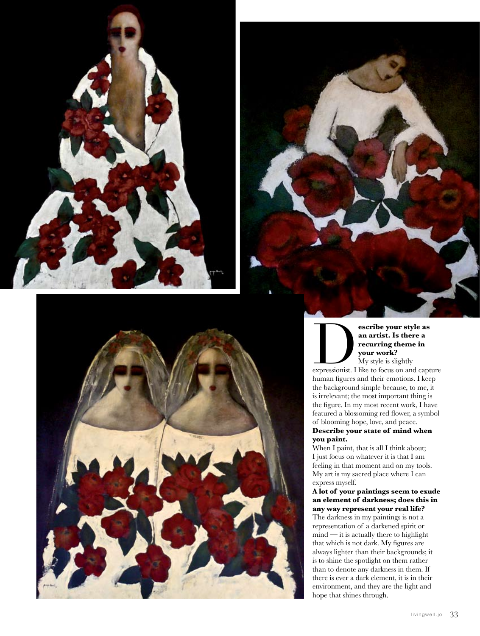





**expressionist.** Is there a<br> **expressionist.** I like to focus on and capture<br> **expressionist.** I like to focus on and capture **an artist. Is there a recurring theme in your work?**

My style is slightly human figures and their emotions. I keep the background simple because, to me, it is irrelevant; the most important thing is the figure. In my most recent work, I have featured a blossoming red flower, a symbol of blooming hope, love, and peace.

# **Describe your state of mind when you paint.**

When I paint, that is all I think about; I just focus on whatever it is that I am feeling in that moment and on my tools. My art is my sacred place where I can express myself.

#### **A lot of your paintings seem to exude an element of darkness; does this in any way represent your real life?**

The darkness in my paintings is not a representation of a darkened spirit or mind — it is actually there to highlight that which is not dark. My figures are always lighter than their backgrounds; it is to shine the spotlight on them rather than to denote any darkness in them. If there is ever a dark element, it is in their environment, and they are the light and hope that shines through.